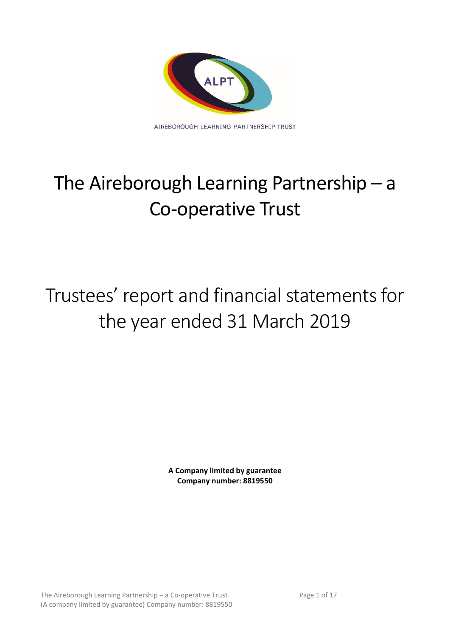

# The Aireborough Learning Partnership – a Co-operative Trust

# Trustees' report and financial statements for the year ended 31 March 2019

**A Company limited by guarantee Company number: 8819550**

The Aireborough Learning Partnership – a Co-operative Trust Page 1 of 17 (A company limited by guarantee) Company number: 8819550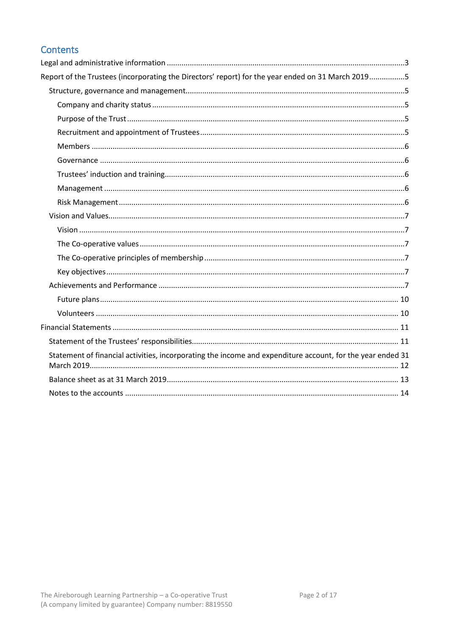# Contents

| Report of the Trustees (incorporating the Directors' report) for the year ended on 31 March 20195          |  |
|------------------------------------------------------------------------------------------------------------|--|
|                                                                                                            |  |
|                                                                                                            |  |
|                                                                                                            |  |
|                                                                                                            |  |
|                                                                                                            |  |
|                                                                                                            |  |
|                                                                                                            |  |
|                                                                                                            |  |
|                                                                                                            |  |
|                                                                                                            |  |
|                                                                                                            |  |
|                                                                                                            |  |
|                                                                                                            |  |
|                                                                                                            |  |
|                                                                                                            |  |
|                                                                                                            |  |
|                                                                                                            |  |
|                                                                                                            |  |
|                                                                                                            |  |
| Statement of financial activities, incorporating the income and expenditure account, for the year ended 31 |  |
|                                                                                                            |  |
|                                                                                                            |  |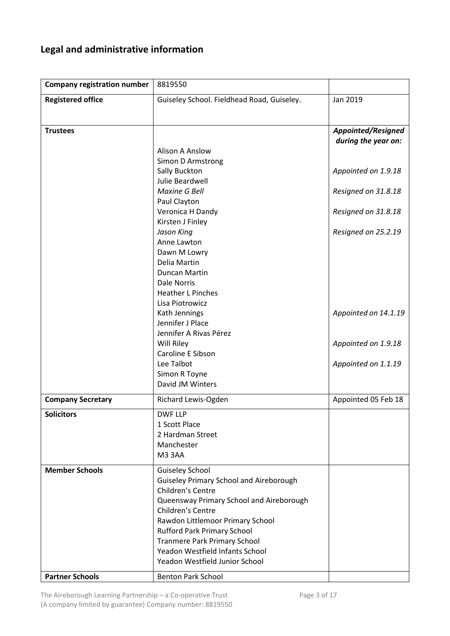# <span id="page-2-0"></span>**Legal and administrative information**

| <b>Company registration number</b> | 8819550                                                             |                                                  |
|------------------------------------|---------------------------------------------------------------------|--------------------------------------------------|
| <b>Registered office</b>           | Guiseley School. Fieldhead Road, Guiseley.                          | Jan 2019                                         |
|                                    |                                                                     |                                                  |
| <b>Trustees</b>                    |                                                                     | <b>Appointed/Resigned</b><br>during the year on: |
|                                    | <b>Alison A Anslow</b>                                              |                                                  |
|                                    | Simon D Armstrong                                                   |                                                  |
|                                    | Sally Buckton                                                       | Appointed on 1.9.18                              |
|                                    | Julie Beardwell<br><b>Maxine G Bell</b>                             | Resigned on 31.8.18                              |
|                                    | Paul Clayton                                                        |                                                  |
|                                    | Veronica H Dandy                                                    | Resigned on 31.8.18                              |
|                                    | Kirsten J Finley                                                    |                                                  |
|                                    | Jason King                                                          | Resigned on 25.2.19                              |
|                                    | Anne Lawton                                                         |                                                  |
|                                    | Dawn M Lowry<br>Delia Martin                                        |                                                  |
|                                    | Duncan Martin                                                       |                                                  |
|                                    | Dale Norris                                                         |                                                  |
|                                    | <b>Heather L Pinches</b>                                            |                                                  |
|                                    | Lisa Piotrowicz                                                     |                                                  |
|                                    | Kath Jennings                                                       | Appointed on 14.1.19                             |
|                                    | Jennifer J Place                                                    |                                                  |
|                                    | Jennifer A Rivas Pérez                                              |                                                  |
|                                    | Will Riley<br>Caroline E Sibson                                     | Appointed on 1.9.18                              |
|                                    | Lee Talbot                                                          | Appointed on 1.1.19                              |
|                                    | Simon R Toyne                                                       |                                                  |
|                                    | David JM Winters                                                    |                                                  |
| <b>Company Secretary</b>           | Richard Lewis-Ogden                                                 | Appointed 05 Feb 18                              |
| <b>Solicitors</b>                  | <b>DWF LLP</b>                                                      |                                                  |
|                                    | 1 Scott Place                                                       |                                                  |
|                                    | 2 Hardman Street                                                    |                                                  |
|                                    | Manchester<br>M33AA                                                 |                                                  |
|                                    |                                                                     |                                                  |
| <b>Member Schools</b>              | <b>Guiseley School</b>                                              |                                                  |
|                                    | <b>Guiseley Primary School and Aireborough</b><br>Children's Centre |                                                  |
|                                    | Queensway Primary School and Aireborough                            |                                                  |
|                                    | Children's Centre                                                   |                                                  |
|                                    | Rawdon Littlemoor Primary School                                    |                                                  |
|                                    | <b>Rufford Park Primary School</b>                                  |                                                  |
|                                    | <b>Tranmere Park Primary School</b>                                 |                                                  |
|                                    | Yeadon Westfield Infants School                                     |                                                  |
|                                    | Yeadon Westfield Junior School                                      |                                                  |
| <b>Partner Schools</b>             | <b>Benton Park School</b>                                           |                                                  |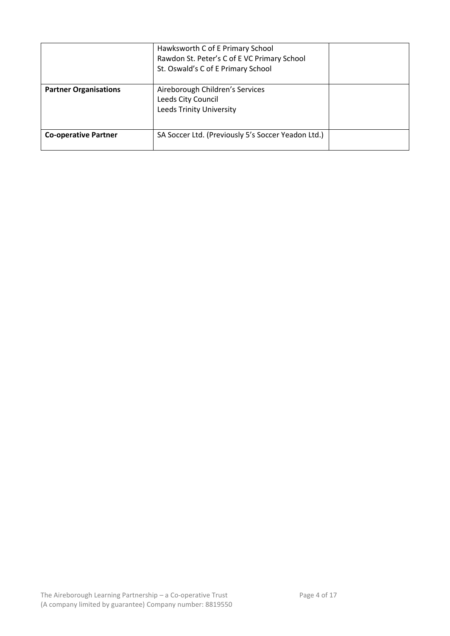|                              | Hawksworth C of E Primary School<br>Rawdon St. Peter's C of E VC Primary School<br>St. Oswald's C of E Primary School |  |
|------------------------------|-----------------------------------------------------------------------------------------------------------------------|--|
| <b>Partner Organisations</b> | Aireborough Children's Services<br>Leeds City Council<br><b>Leeds Trinity University</b>                              |  |
| <b>Co-operative Partner</b>  | SA Soccer Ltd. (Previously 5's Soccer Yeadon Ltd.)                                                                    |  |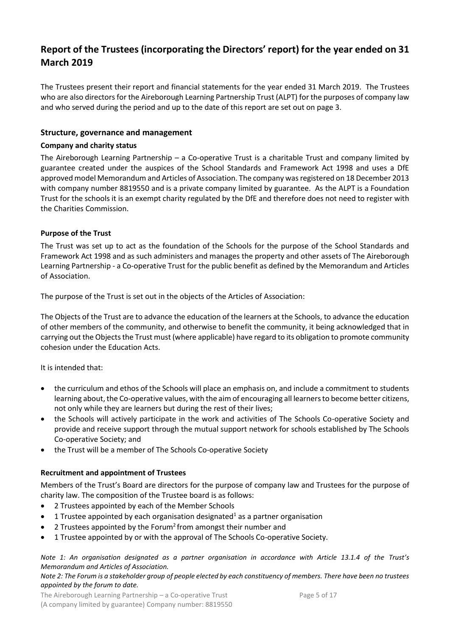# <span id="page-4-0"></span>**Report of the Trustees (incorporating the Directors' report) for the year ended on 31 March 2019**

The Trustees present their report and financial statements for the year ended 31 March 2019. The Trustees who are also directors for the Aireborough Learning Partnership Trust (ALPT) for the purposes of company law and who served during the period and up to the date of this report are set out on page 3.

# <span id="page-4-1"></span>**Structure, governance and management**

## <span id="page-4-2"></span>**Company and charity status**

The Aireborough Learning Partnership – a Co-operative Trust is a charitable Trust and company limited by guarantee created under the auspices of the School Standards and Framework Act 1998 and uses a DfE approved model Memorandum and Articles of Association. The company was registered on 18 December 2013 with company number 8819550 and is a private company limited by guarantee. As the ALPT is a Foundation Trust for the schools it is an exempt charity regulated by the DfE and therefore does not need to register with the Charities Commission.

# <span id="page-4-3"></span>**Purpose of the Trust**

The Trust was set up to act as the foundation of the Schools for the purpose of the School Standards and Framework Act 1998 and as such administers and manages the property and other assets of The Aireborough Learning Partnership - a Co-operative Trust for the public benefit as defined by the Memorandum and Articles of Association.

The purpose of the Trust is set out in the objects of the Articles of Association:

The Objects of the Trust are to advance the education of the learners at the Schools, to advance the education of other members of the community, and otherwise to benefit the community, it being acknowledged that in carrying out the Objects the Trust must (where applicable) have regard to its obligation to promote community cohesion under the Education Acts.

It is intended that:

- the curriculum and ethos of the Schools will place an emphasis on, and include a commitment to students learning about, the Co-operative values, with the aim of encouraging all learners to become better citizens, not only while they are learners but during the rest of their lives;
- the Schools will actively participate in the work and activities of The Schools Co-operative Society and provide and receive support through the mutual support network for schools established by The Schools Co-operative Society; and
- the Trust will be a member of The Schools Co-operative Society

# <span id="page-4-4"></span>**Recruitment and appointment of Trustees**

Members of the Trust's Board are directors for the purpose of company law and Trustees for the purpose of charity law. The composition of the Trustee board is as follows:

- 2 Trustees appointed by each of the Member Schools
- 1 Trustee appointed by each organisation designated<sup>1</sup> as a partner organisation
- 2 Trustees appointed by the Forum<sup>2</sup>from amongst their number and
- 1 Trustee appointed by or with the approval of The Schools Co-operative Society.

*Note 1: An organisation designated as a partner organisation in accordance with Article 13.1.4 of the Trust's Memorandum and Articles of Association.*

#### *Note 2: The Forum is a stakeholder group of people elected by each constituency of members. There have been no trustees appointed by the forum to date.*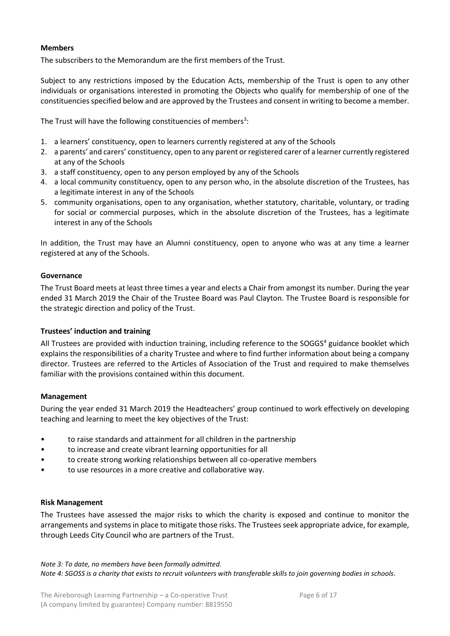# <span id="page-5-0"></span>**Members**

The subscribers to the Memorandum are the first members of the Trust.

Subject to any restrictions imposed by the Education Acts, membership of the Trust is open to any other individuals or organisations interested in promoting the Objects who qualify for membership of one of the constituencies specified below and are approved by the Trustees and consent in writing to become a member.

The Trust will have the following constituencies of members<sup>3</sup>:

- 1. a learners' constituency, open to learners currently registered at any of the Schools
- 2. a parents' and carers' constituency, open to any parent or registered carer of a learner currently registered at any of the Schools
- 3. a staff constituency, open to any person employed by any of the Schools
- 4. a local community constituency, open to any person who, in the absolute discretion of the Trustees, has a legitimate interest in any of the Schools
- 5. community organisations, open to any organisation, whether statutory, charitable, voluntary, or trading for social or commercial purposes, which in the absolute discretion of the Trustees, has a legitimate interest in any of the Schools

In addition, the Trust may have an Alumni constituency, open to anyone who was at any time a learner registered at any of the Schools.

# <span id="page-5-1"></span>**Governance**

The Trust Board meets at least three times a year and elects a Chair from amongst its number. During the year ended 31 March 2019 the Chair of the Trustee Board was Paul Clayton. The Trustee Board is responsible for the strategic direction and policy of the Trust.

### <span id="page-5-2"></span>**Trustees' induction and training**

All Trustees are provided with induction training, including reference to the SOGGS<sup>4</sup> guidance booklet which explains the responsibilities of a charity Trustee and where to find further information about being a company director. Trustees are referred to the Articles of Association of the Trust and required to make themselves familiar with the provisions contained within this document.

### <span id="page-5-3"></span>**Management**

During the year ended 31 March 2019 the Headteachers' group continued to work effectively on developing teaching and learning to meet the key objectives of the Trust:

- to raise standards and attainment for all children in the partnership
- to increase and create vibrant learning opportunities for all
- to create strong working relationships between all co-operative members
- to use resources in a more creative and collaborative way.

### <span id="page-5-4"></span>**Risk Management**

The Trustees have assessed the major risks to which the charity is exposed and continue to monitor the arrangements and systems in place to mitigate those risks. The Trustees seek appropriate advice, for example, through Leeds City Council who are partners of the Trust.

*Note 3: To date, no members have been formally admitted. Note 4: SGOSS is a charity that exists to recruit volunteers with transferable skills to join governing bodies in schools.*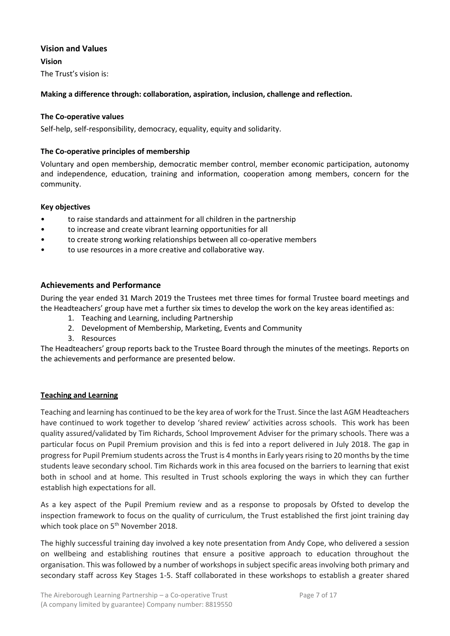# <span id="page-6-0"></span>**Vision and Values**

<span id="page-6-1"></span>**Vision**

The Trust's vision is:

# **Making a difference through: collaboration, aspiration, inclusion, challenge and reflection.**

# <span id="page-6-2"></span>**The Co-operative values**

Self-help, self-responsibility, democracy, equality, equity and solidarity.

# <span id="page-6-3"></span>**The Co-operative principles of membership**

Voluntary and open membership, democratic member control, member economic participation, autonomy and independence, education, training and information, cooperation among members, concern for the community.

# <span id="page-6-4"></span>**Key objectives**

- to raise standards and attainment for all children in the partnership
- to increase and create vibrant learning opportunities for all
- to create strong working relationships between all co-operative members
- to use resources in a more creative and collaborative way.

# <span id="page-6-5"></span>**Achievements and Performance**

During the year ended 31 March 2019 the Trustees met three times for formal Trustee board meetings and the Headteachers' group have met a further six times to develop the work on the key areas identified as:

- 1. Teaching and Learning, including Partnership
- 2. Development of Membership, Marketing, Events and Community
- 3. Resources

The Headteachers' group reports back to the Trustee Board through the minutes of the meetings. Reports on the achievements and performance are presented below.

### **Teaching and Learning**

Teaching and learning has continued to be the key area of work for the Trust. Since the last AGM Headteachers have continued to work together to develop 'shared review' activities across schools. This work has been quality assured/validated by Tim Richards, School Improvement Adviser for the primary schools. There was a particular focus on Pupil Premium provision and this is fed into a report delivered in July 2018. The gap in progress for Pupil Premium students across the Trust is 4 months in Early years rising to 20 months by the time students leave secondary school. Tim Richards work in this area focused on the barriers to learning that exist both in school and at home. This resulted in Trust schools exploring the ways in which they can further establish high expectations for all.

As a key aspect of the Pupil Premium review and as a response to proposals by Ofsted to develop the inspection framework to focus on the quality of curriculum, the Trust established the first joint training day which took place on 5<sup>th</sup> November 2018.

The highly successful training day involved a key note presentation from Andy Cope, who delivered a session on wellbeing and establishing routines that ensure a positive approach to education throughout the organisation. This was followed by a number of workshops in subject specific areas involving both primary and secondary staff across Key Stages 1-5. Staff collaborated in these workshops to establish a greater shared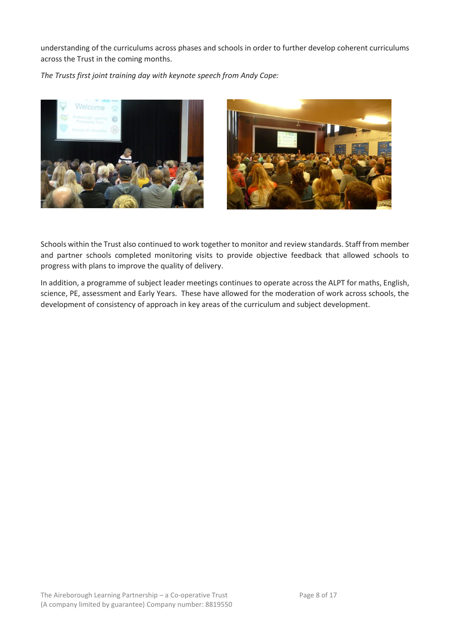understanding of the curriculums across phases and schools in order to further develop coherent curriculums across the Trust in the coming months.

*The Trusts first joint training day with keynote speech from Andy Cope:*





Schools within the Trust also continued to work together to monitor and review standards. Staff from member and partner schools completed monitoring visits to provide objective feedback that allowed schools to progress with plans to improve the quality of delivery.

In addition, a programme of subject leader meetings continues to operate across the ALPT for maths, English, science, PE, assessment and Early Years. These have allowed for the moderation of work across schools, the development of consistency of approach in key areas of the curriculum and subject development.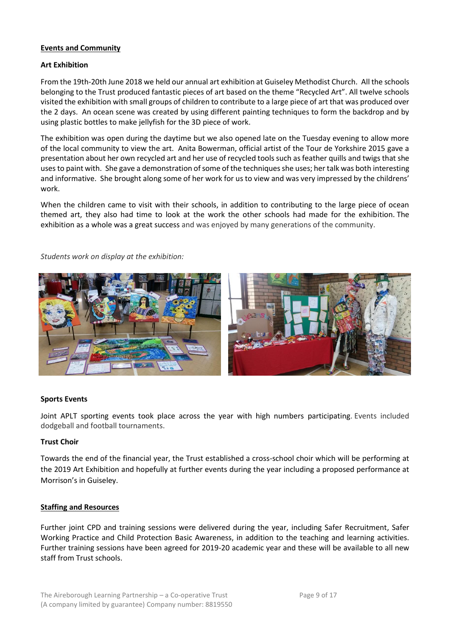# **Events and Community**

### **Art Exhibition**

From the 19th-20th June 2018 we held our annual art exhibition at Guiseley Methodist Church. All the schools belonging to the Trust produced fantastic pieces of art based on the theme "Recycled Art". All twelve schools visited the exhibition with small groups of children to contribute to a large piece of art that was produced over the 2 days. An ocean scene was created by using different painting techniques to form the backdrop and by using plastic bottles to make jellyfish for the 3D piece of work.

The exhibition was open during the daytime but we also opened late on the Tuesday evening to allow more of the local community to view the art. Anita Bowerman, official artist of the Tour de Yorkshire 2015 gave a presentation about her own recycled art and her use of recycled tools such as feather quills and twigs that she uses to paint with. She gave a demonstration of some of the techniques she uses; her talk was both interesting and informative. She brought along some of her work for us to view and was very impressed by the childrens' work.

When the children came to visit with their schools, in addition to contributing to the large piece of ocean themed art, they also had time to look at the work the other schools had made for the exhibition. The exhibition as a whole was a great success and was enjoyed by many generations of the community.

*Students work on display at the exhibition:*



### **Sports Events**

Joint APLT sporting events took place across the year with high numbers participating. Events included dodgeball and football tournaments.

### **Trust Choir**

Towards the end of the financial year, the Trust established a cross-school choir which will be performing at the 2019 Art Exhibition and hopefully at further events during the year including a proposed performance at Morrison's in Guiseley.

#### **Staffing and Resources**

Further joint CPD and training sessions were delivered during the year, including Safer Recruitment, Safer Working Practice and Child Protection Basic Awareness, in addition to the teaching and learning activities. Further training sessions have been agreed for 2019-20 academic year and these will be available to all new staff from Trust schools.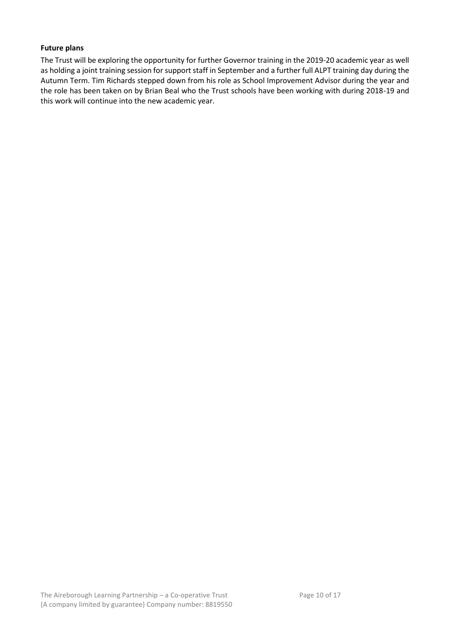# <span id="page-9-0"></span>**Future plans**

<span id="page-9-1"></span>The Trust will be exploring the opportunity for further Governor training in the 2019-20 academic year as well as holding a joint training session for support staff in September and a further full ALPT training day during the Autumn Term. Tim Richards stepped down from his role as School Improvement Advisor during the year and the role has been taken on by Brian Beal who the Trust schools have been working with during 2018-19 and this work will continue into the new academic year.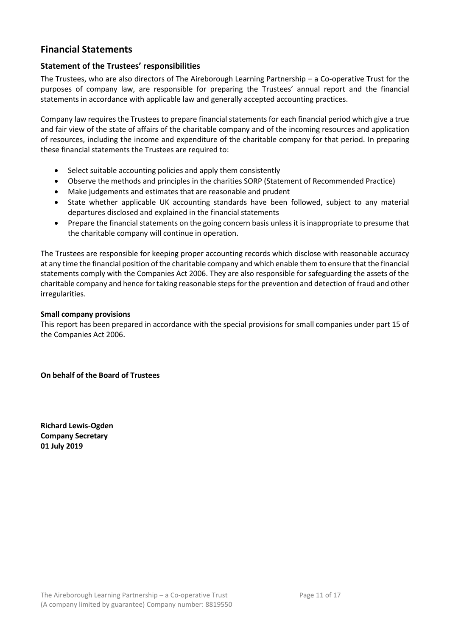# <span id="page-10-0"></span>**Financial Statements**

# <span id="page-10-1"></span>**Statement of the Trustees' responsibilities**

The Trustees, who are also directors of The Aireborough Learning Partnership – a Co-operative Trust for the purposes of company law, are responsible for preparing the Trustees' annual report and the financial statements in accordance with applicable law and generally accepted accounting practices.

Company law requires the Trustees to prepare financial statements for each financial period which give a true and fair view of the state of affairs of the charitable company and of the incoming resources and application of resources, including the income and expenditure of the charitable company for that period. In preparing these financial statements the Trustees are required to:

- Select suitable accounting policies and apply them consistently
- Observe the methods and principles in the charities SORP (Statement of Recommended Practice)
- Make judgements and estimates that are reasonable and prudent
- State whether applicable UK accounting standards have been followed, subject to any material departures disclosed and explained in the financial statements
- Prepare the financial statements on the going concern basis unless it is inappropriate to presume that the charitable company will continue in operation.

The Trustees are responsible for keeping proper accounting records which disclose with reasonable accuracy at any time the financial position of the charitable company and which enable them to ensure that the financial statements comply with the Companies Act 2006. They are also responsible for safeguarding the assets of the charitable company and hence for taking reasonable steps for the prevention and detection of fraud and other irregularities.

# **Small company provisions**

This report has been prepared in accordance with the special provisions for small companies under part 15 of the Companies Act 2006.

**On behalf of the Board of Trustees**

**Richard Lewis-Ogden Company Secretary 01 July 2019**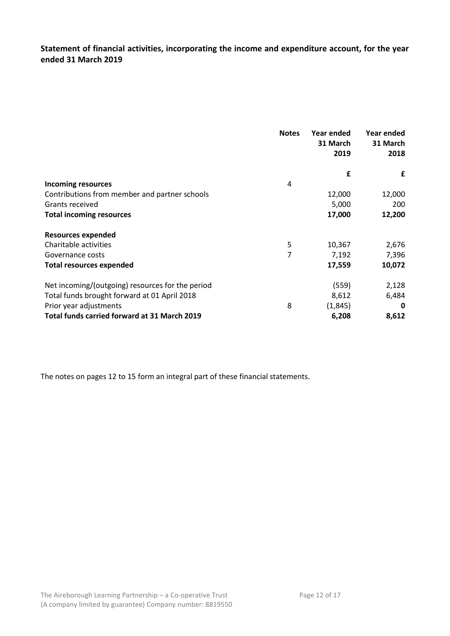<span id="page-11-0"></span>**Statement of financial activities, incorporating the income and expenditure account, for the year ended 31 March 2019**

|                                                  | <b>Notes</b>   | Year ended<br>31 March | Year ended<br>31 March |
|--------------------------------------------------|----------------|------------------------|------------------------|
|                                                  |                | 2019                   | 2018                   |
|                                                  |                | £                      | £                      |
| <b>Incoming resources</b>                        | 4              |                        |                        |
| Contributions from member and partner schools    |                | 12,000                 | 12,000                 |
| Grants received                                  |                | 5,000                  | 200                    |
| <b>Total incoming resources</b>                  |                | 17,000                 | 12,200                 |
| <b>Resources expended</b>                        |                |                        |                        |
| Charitable activities                            | 5              | 10,367                 | 2,676                  |
| Governance costs                                 | $\overline{7}$ | 7,192                  | 7,396                  |
| <b>Total resources expended</b>                  |                | 17,559                 | 10,072                 |
| Net incoming/(outgoing) resources for the period |                | (559)                  | 2,128                  |
| Total funds brought forward at 01 April 2018     |                | 8,612                  | 6,484                  |
| Prior year adjustments                           | 8              | (1, 845)               | 0                      |
| Total funds carried forward at 31 March 2019     |                | 6,208                  | 8,612                  |

The notes on pages 12 to 15 form an integral part of these financial statements.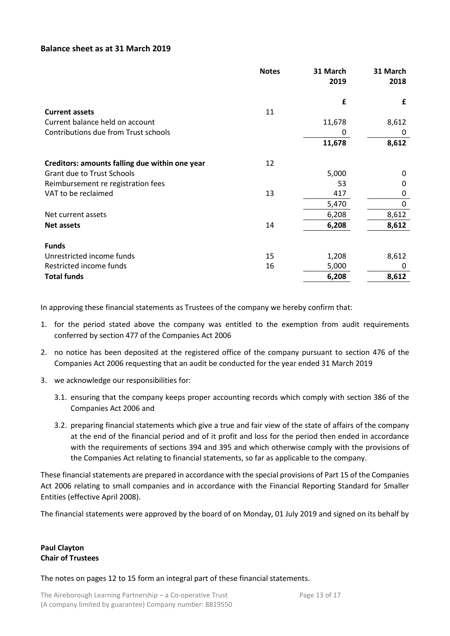# <span id="page-12-0"></span>**Balance sheet as at 31 March 2019**

|                                                | <b>Notes</b> | 31 March | 31 March |
|------------------------------------------------|--------------|----------|----------|
|                                                |              | 2019     | 2018     |
|                                                |              | £        | £        |
| <b>Current assets</b>                          | 11           |          |          |
| Current balance held on account                |              | 11,678   | 8,612    |
| Contributions due from Trust schools           |              | 0        | 0        |
|                                                |              | 11,678   | 8,612    |
| Creditors: amounts falling due within one year | 12           |          |          |
| <b>Grant due to Trust Schools</b>              |              | 5,000    | 0        |
| Reimbursement re registration fees             |              | 53       | 0        |
| VAT to be reclaimed                            | 13           | 417      | 0        |
|                                                |              | 5,470    | 0        |
| Net current assets                             |              | 6,208    | 8,612    |
| <b>Net assets</b>                              | 14           | 6,208    | 8,612    |
| <b>Funds</b>                                   |              |          |          |
| Unrestricted income funds                      | 15           | 1,208    | 8,612    |
| Restricted income funds                        | 16           | 5,000    | 0        |
| <b>Total funds</b>                             |              | 6,208    | 8,612    |

In approving these financial statements as Trustees of the company we hereby confirm that:

- 1. for the period stated above the company was entitled to the exemption from audit requirements conferred by section 477 of the Companies Act 2006
- 2. no notice has been deposited at the registered office of the company pursuant to section 476 of the Companies Act 2006 requesting that an audit be conducted for the year ended 31 March 2019
- 3. we acknowledge our responsibilities for:
	- 3.1. ensuring that the company keeps proper accounting records which comply with section 386 of the Companies Act 2006 and
	- 3.2. preparing financial statements which give a true and fair view of the state of affairs of the company at the end of the financial period and of it profit and loss for the period then ended in accordance with the requirements of sections 394 and 395 and which otherwise comply with the provisions of the Companies Act relating to financial statements, so far as applicable to the company.

These financial statements are prepared in accordance with the special provisions of Part 15 of the Companies Act 2006 relating to small companies and in accordance with the Financial Reporting Standard for Smaller Entities (effective April 2008).

The financial statements were approved by the board of on Monday, 01 July 2019 and signed on its behalf by

# **Paul Clayton Chair of Trustees**

The notes on pages 12 to 15 form an integral part of these financial statements.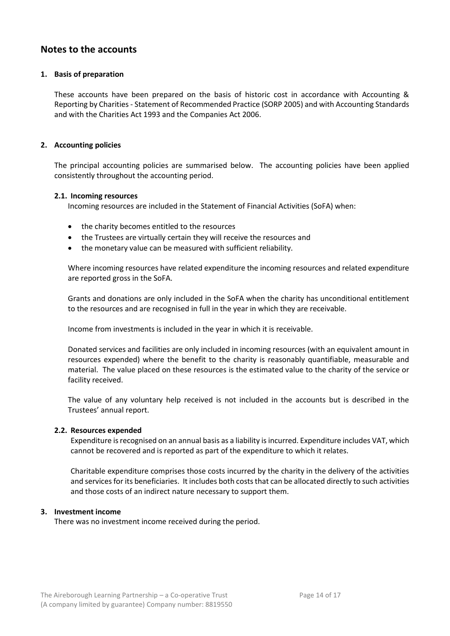# <span id="page-13-0"></span>**Notes to the accounts**

## **1. Basis of preparation**

These accounts have been prepared on the basis of historic cost in accordance with Accounting & Reporting by Charities - Statement of Recommended Practice (SORP 2005) and with Accounting Standards and with the Charities Act 1993 and the Companies Act 2006.

## **2. Accounting policies**

The principal accounting policies are summarised below. The accounting policies have been applied consistently throughout the accounting period.

### **2.1. Incoming resources**

Incoming resources are included in the Statement of Financial Activities (SoFA) when:

- the charity becomes entitled to the resources
- the Trustees are virtually certain they will receive the resources and
- the monetary value can be measured with sufficient reliability.

Where incoming resources have related expenditure the incoming resources and related expenditure are reported gross in the SoFA.

Grants and donations are only included in the SoFA when the charity has unconditional entitlement to the resources and are recognised in full in the year in which they are receivable.

Income from investments is included in the year in which it is receivable.

Donated services and facilities are only included in incoming resources (with an equivalent amount in resources expended) where the benefit to the charity is reasonably quantifiable, measurable and material. The value placed on these resources is the estimated value to the charity of the service or facility received.

The value of any voluntary help received is not included in the accounts but is described in the Trustees' annual report.

### **2.2. Resources expended**

Expenditure is recognised on an annual basis as a liability is incurred. Expenditure includes VAT, which cannot be recovered and is reported as part of the expenditure to which it relates.

Charitable expenditure comprises those costs incurred by the charity in the delivery of the activities and services for its beneficiaries. It includes both costs that can be allocated directly to such activities and those costs of an indirect nature necessary to support them.

### **3. Investment income**

There was no investment income received during the period.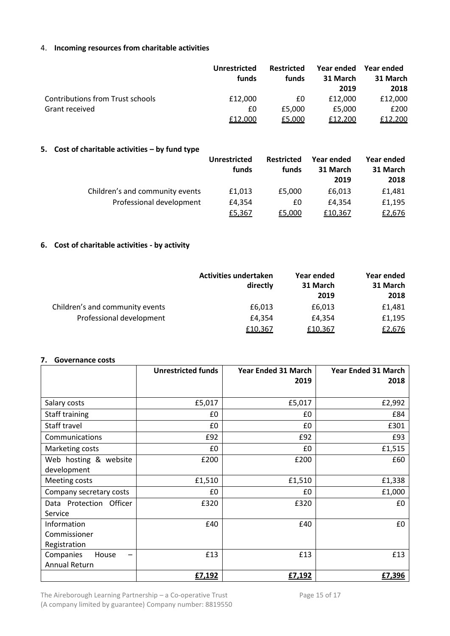# 4. **Incoming resources from charitable activities**

|                                         | Unrestricted<br>funds | <b>Restricted</b><br>funds | Year ended<br>31 March<br>2019 | Year ended<br>31 March<br>2018 |
|-----------------------------------------|-----------------------|----------------------------|--------------------------------|--------------------------------|
| <b>Contributions from Trust schools</b> | £12,000               | £0                         | £12,000                        | £12,000                        |
| Grant received                          | £0                    | £5,000                     | £5,000                         | £200                           |
|                                         | £12,000               | £5,000                     | £12,200                        | £12,200                        |

# **5. Cost of charitable activities – by fund type**

|                                 | Unrestricted<br>funds | <b>Restricted</b><br>funds | Year ended<br>31 March<br>2019 | Year ended<br>31 March<br>2018 |
|---------------------------------|-----------------------|----------------------------|--------------------------------|--------------------------------|
| Children's and community events | £1,013                | £5,000                     | £6,013                         | £1,481                         |
| Professional development        | £4,354                | £0                         | £4.354                         | £1,195                         |
|                                 | £5,367                | £5,000                     | £10,367                        | £2,676                         |

# **6. Cost of charitable activities - by activity**

|                                 | <b>Activities undertaken</b> | Year ended | Year ended |
|---------------------------------|------------------------------|------------|------------|
|                                 | directly                     | 31 March   | 31 March   |
|                                 |                              | 2019       | 2018       |
| Children's and community events | £6,013                       | £6,013     | £1,481     |
| Professional development        | £4.354                       | £4.354     | £1,195     |
|                                 | £10,367                      | £10,367    | £2,676     |

# **7. Governance costs**

|                         | <b>Unrestricted funds</b> | <b>Year Ended 31 March</b> | <b>Year Ended 31 March</b> |
|-------------------------|---------------------------|----------------------------|----------------------------|
|                         |                           | 2019                       | 2018                       |
| Salary costs            | £5,017                    | £5,017                     | £2,992                     |
| Staff training          | £0                        | £0                         | £84                        |
| Staff travel            | £0                        | £0                         | £301                       |
| Communications          | £92                       | £92                        | £93                        |
| Marketing costs         | £0                        | £0                         | £1,515                     |
| Web hosting & website   | £200                      | £200                       | £60                        |
| development             |                           |                            |                            |
| Meeting costs           | £1,510                    | £1,510                     | £1,338                     |
| Company secretary costs | £0                        | £0                         | £1,000                     |
| Data Protection Officer | £320                      | £320                       | £0                         |
| Service                 |                           |                            |                            |
| Information             | £40                       | £40                        | £0                         |
| Commissioner            |                           |                            |                            |
| Registration            |                           |                            |                            |
| Companies<br>House      | £13                       | £13                        | £13                        |
| <b>Annual Return</b>    |                           |                            |                            |
|                         | £7,192                    | £7,192                     | £7,396                     |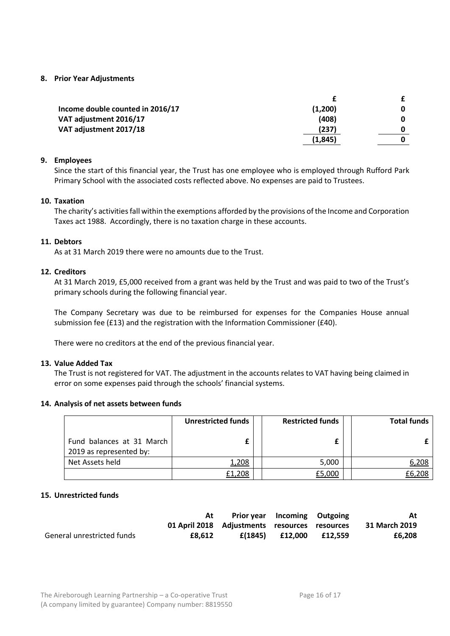## **8. Prior Year Adjustments**

| Income double counted in 2016/17 | (1,200)  | 0 |
|----------------------------------|----------|---|
| VAT adjustment 2016/17           | (408)    | O |
| VAT adjustment 2017/18           | (237)    |   |
|                                  | (1, 845) |   |
|                                  |          |   |

# **9. Employees**

Since the start of this financial year, the Trust has one employee who is employed through Rufford Park Primary School with the associated costs reflected above. No expenses are paid to Trustees.

### **10. Taxation**

The charity's activities fall within the exemptions afforded by the provisions of the Income and Corporation Taxes act 1988. Accordingly, there is no taxation charge in these accounts.

# **11. Debtors**

As at 31 March 2019 there were no amounts due to the Trust.

# **12. Creditors**

At 31 March 2019, £5,000 received from a grant was held by the Trust and was paid to two of the Trust's primary schools during the following financial year.

The Company Secretary was due to be reimbursed for expenses for the Companies House annual submission fee (£13) and the registration with the Information Commissioner (£40).

There were no creditors at the end of the previous financial year.

## **13. Value Added Tax**

The Trust is not registered for VAT. The adjustment in the accounts relates to VAT having being claimed in error on some expenses paid through the schools' financial systems.

### **14. Analysis of net assets between funds**

|                                                      | <b>Unrestricted funds</b> | <b>Restricted funds</b> | <b>Total funds</b> |
|------------------------------------------------------|---------------------------|-------------------------|--------------------|
| Fund balances at 31 March<br>2019 as represented by: |                           |                         |                    |
| Net Assets held                                      | 1,208                     | 5,000                   | 6,208              |
|                                                      | £1,208                    | £5,000                  | £6,208             |

### **15. Unrestricted funds**

|                            | At                                            | <b>Prior year</b> Incoming Outgoing |                   |         | At            |
|----------------------------|-----------------------------------------------|-------------------------------------|-------------------|---------|---------------|
|                            | 01 April 2018 Adjustments resources resources |                                     |                   |         | 31 March 2019 |
| General unrestricted funds | £8.612                                        |                                     | f(1845) f(12.000) | £12.559 | £6,208        |